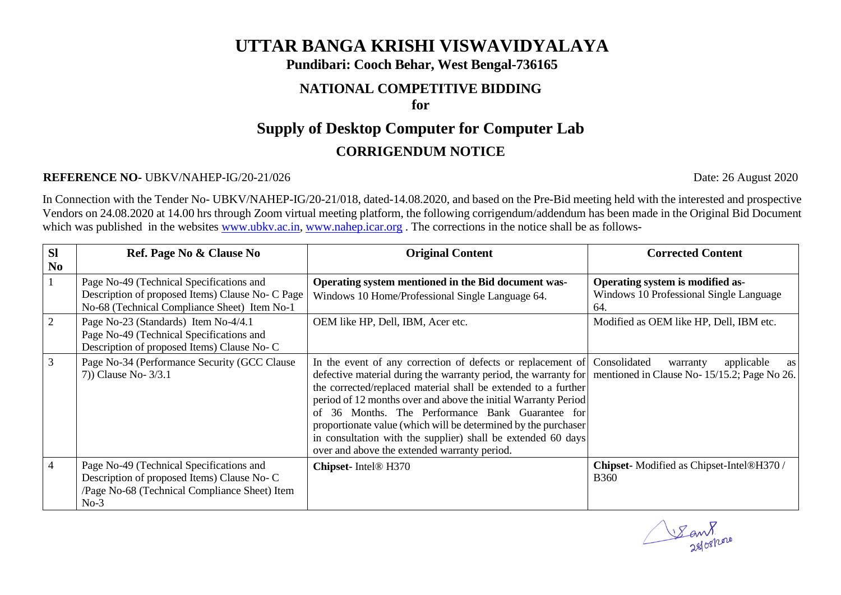## **UTTAR BANGA KRISHI VISWAVIDYALAYA**

**Pundibari: Cooch Behar, West Bengal-736165**

# **NATIONAL COMPETITIVE BIDDING**

### **for**

## **Supply of Desktop Computer for Computer Lab CORRIGENDUM NOTICE**

#### **REFERENCE NO-** UBKV/NAHEP-IG/20-21/026 Date: 26 August 2020

In Connection with the Tender No- UBKV/NAHEP-IG/20-21/018, dated-14.08.2020, and based on the Pre-Bid meeting held with the interested and prospective Vendors on 24.08.2020 at 14.00 hrs through Zoom virtual meeting platform, the following corrigendum/addendum has been made in the Original Bid Document which was published in the websites [www.ubkv.ac.in,](http://www.ubkv.ac.in/) [www.nahep.icar.org](http://www.nahep.icar.org/). The corrections in the notice shall be as follows-

| <b>SI</b><br>N <sub>0</sub> | Ref. Page No & Clause No                                                                                                                          | <b>Original Content</b>                                                                                                                                                                                                                                                                                                                                                                                                                                                                                                                                            | <b>Corrected Content</b>                                                           |
|-----------------------------|---------------------------------------------------------------------------------------------------------------------------------------------------|--------------------------------------------------------------------------------------------------------------------------------------------------------------------------------------------------------------------------------------------------------------------------------------------------------------------------------------------------------------------------------------------------------------------------------------------------------------------------------------------------------------------------------------------------------------------|------------------------------------------------------------------------------------|
|                             | Page No-49 (Technical Specifications and<br>Description of proposed Items) Clause No- C Page<br>No-68 (Technical Compliance Sheet) Item No-1      | Operating system mentioned in the Bid document was-<br>Windows 10 Home/Professional Single Language 64.                                                                                                                                                                                                                                                                                                                                                                                                                                                            | Operating system is modified as-<br>Windows 10 Professional Single Language<br>64. |
| $\overline{2}$              | Page No-23 (Standards) Item No-4/4.1<br>Page No-49 (Technical Specifications and<br>Description of proposed Items) Clause No- C                   | OEM like HP, Dell, IBM, Acer etc.                                                                                                                                                                                                                                                                                                                                                                                                                                                                                                                                  | Modified as OEM like HP, Dell, IBM etc.                                            |
| $\mathfrak{Z}$              | Page No-34 (Performance Security (GCC Clause<br>7) Clause No- $3/3.1$                                                                             | In the event of any correction of defects or replacement of Consolidated<br>defective material during the warranty period, the warranty for mentioned in Clause No- 15/15.2; Page No 26.<br>the corrected/replaced material shall be extended to a further<br>period of 12 months over and above the initial Warranty Period<br>of 36 Months. The Performance Bank Guarantee for<br>proportionate value (which will be determined by the purchaser<br>in consultation with the supplier) shall be extended 60 days<br>over and above the extended warranty period. | applicable<br>warranty<br>as                                                       |
| $\overline{4}$              | Page No-49 (Technical Specifications and<br>Description of proposed Items) Clause No-C<br>/Page No-68 (Technical Compliance Sheet) Item<br>$No-3$ | Chipset-Intel <sup>®</sup> H370                                                                                                                                                                                                                                                                                                                                                                                                                                                                                                                                    | Chipset-Modified as Chipset-Intel®H370 /<br><b>B360</b>                            |

Eant.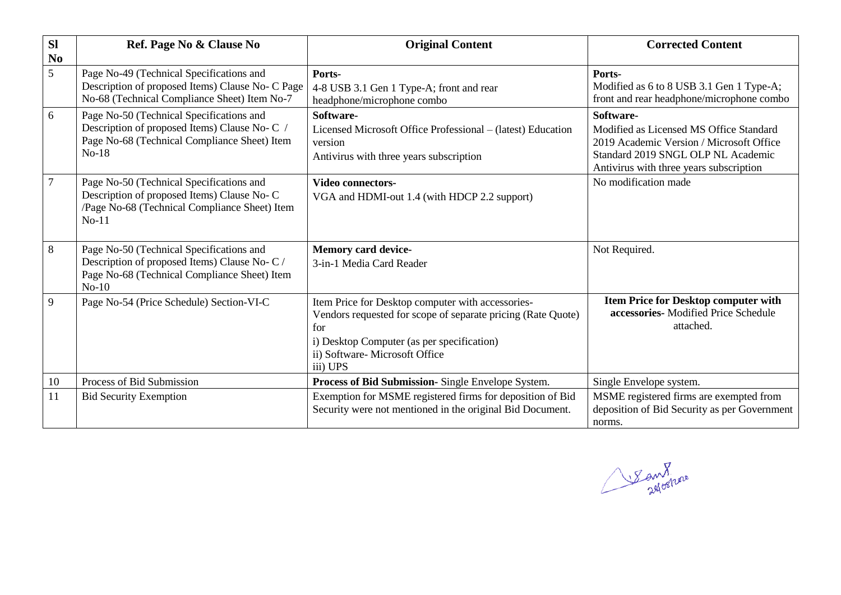| <b>SI</b><br>N <sub>0</sub> | Ref. Page No & Clause No                                                                                                                             | <b>Original Content</b>                                                                                                                                                                                             | <b>Corrected Content</b>                                                                                                                                                          |
|-----------------------------|------------------------------------------------------------------------------------------------------------------------------------------------------|---------------------------------------------------------------------------------------------------------------------------------------------------------------------------------------------------------------------|-----------------------------------------------------------------------------------------------------------------------------------------------------------------------------------|
| 5                           | Page No-49 (Technical Specifications and<br>Description of proposed Items) Clause No- C Page<br>No-68 (Technical Compliance Sheet) Item No-7         | Ports-<br>4-8 USB 3.1 Gen 1 Type-A; front and rear<br>headphone/microphone combo                                                                                                                                    | Ports-<br>Modified as 6 to 8 USB 3.1 Gen 1 Type-A;<br>front and rear headphone/microphone combo                                                                                   |
| 6                           | Page No-50 (Technical Specifications and<br>Description of proposed Items) Clause No- C /<br>Page No-68 (Technical Compliance Sheet) Item<br>$No-18$ | Software-<br>Licensed Microsoft Office Professional – (latest) Education<br>version<br>Antivirus with three years subscription                                                                                      | Software-<br>Modified as Licensed MS Office Standard<br>2019 Academic Version / Microsoft Office<br>Standard 2019 SNGL OLP NL Academic<br>Antivirus with three years subscription |
| $\tau$                      | Page No-50 (Technical Specifications and<br>Description of proposed Items) Clause No-C<br>/Page No-68 (Technical Compliance Sheet) Item<br>$No-11$   | <b>Video connectors-</b><br>VGA and HDMI-out 1.4 (with HDCP 2.2 support)                                                                                                                                            | No modification made                                                                                                                                                              |
| 8                           | Page No-50 (Technical Specifications and<br>Description of proposed Items) Clause No- C /<br>Page No-68 (Technical Compliance Sheet) Item<br>$No-10$ | <b>Memory card device-</b><br>3-in-1 Media Card Reader                                                                                                                                                              | Not Required.                                                                                                                                                                     |
| 9                           | Page No-54 (Price Schedule) Section-VI-C                                                                                                             | Item Price for Desktop computer with accessories-<br>Vendors requested for scope of separate pricing (Rate Quote)<br>for<br>i) Desktop Computer (as per specification)<br>ii) Software-Microsoft Office<br>iii) UPS | <b>Item Price for Desktop computer with</b><br>accessories- Modified Price Schedule<br>attached.                                                                                  |
| 10                          | Process of Bid Submission                                                                                                                            | Process of Bid Submission- Single Envelope System.                                                                                                                                                                  | Single Envelope system.                                                                                                                                                           |
| 11                          | <b>Bid Security Exemption</b>                                                                                                                        | Exemption for MSME registered firms for deposition of Bid<br>Security were not mentioned in the original Bid Document.                                                                                              | MSME registered firms are exempted from<br>deposition of Bid Security as per Government<br>norms.                                                                                 |

San 8 is now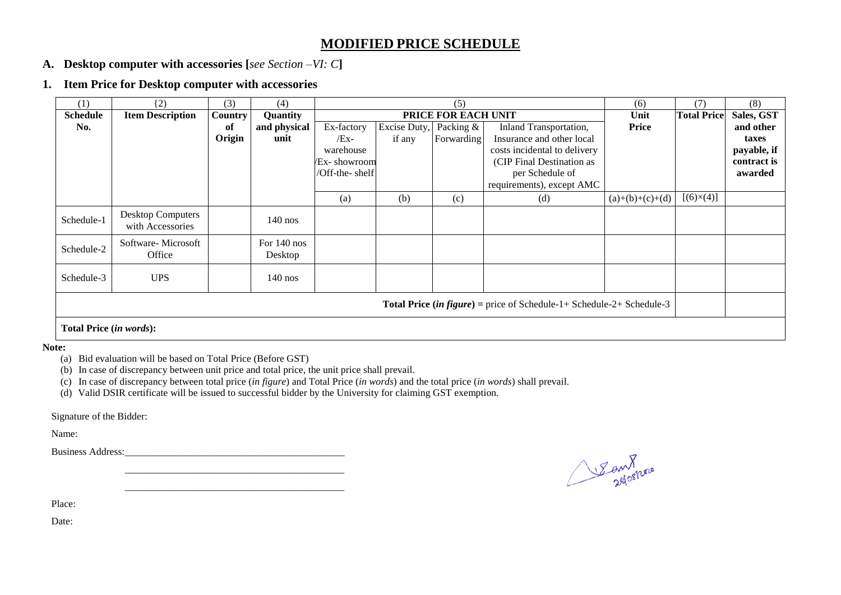#### **MODIFIED PRICE SCHEDULE**

- **A. Desktop computer with accessories [***see Section –VI: C***]**
- **1. Item Price for Desktop computer with accessories**

| (1)                                                                          | (2)                                          | (3)     | (4)                    | (5)                 |              |            |                              | (6)               | (7)                | (8)         |
|------------------------------------------------------------------------------|----------------------------------------------|---------|------------------------|---------------------|--------------|------------|------------------------------|-------------------|--------------------|-------------|
| <b>Schedule</b>                                                              | <b>Item Description</b>                      | Country | Quantity               | PRICE FOR EACH UNIT |              |            |                              | Unit              | <b>Total Price</b> | Sales, GST  |
| No.                                                                          |                                              | of      | and physical           | Ex-factory          | Excise Duty, | Packing &  | Inland Transportation,       | <b>Price</b>      |                    | and other   |
|                                                                              |                                              | Origin  | unit                   | $/Ex-$              | if any       | Forwarding | Insurance and other local    |                   |                    | taxes       |
|                                                                              |                                              |         |                        | warehouse           |              |            | costs incidental to delivery |                   |                    | payable, if |
|                                                                              |                                              |         |                        | /Ex- showroom       |              |            | (CIP Final Destination as    |                   |                    | contract is |
|                                                                              |                                              |         |                        | /Off-the-shelf      |              |            | per Schedule of              |                   |                    | awarded     |
|                                                                              |                                              |         |                        |                     |              |            | requirements), except AMC    |                   |                    |             |
|                                                                              |                                              |         |                        | (a)                 | (b)          | (c)        | (d)                          | $(a)+(b)+(c)+(d)$ | $[(6)\times(4)]$   |             |
| Schedule-1                                                                   | <b>Desktop Computers</b><br>with Accessories |         | $140$ nos              |                     |              |            |                              |                   |                    |             |
| Schedule-2                                                                   | Software-Microsoft<br>Office                 |         | For 140 nos<br>Desktop |                     |              |            |                              |                   |                    |             |
| Schedule-3                                                                   | <b>UPS</b>                                   |         | $140$ nos              |                     |              |            |                              |                   |                    |             |
| <b>Total Price (in figure)</b> = price of Schedule-1+ Schedule-2+ Schedule-3 |                                              |         |                        |                     |              |            |                              |                   |                    |             |
| Total Price (in words):                                                      |                                              |         |                        |                     |              |            |                              |                   |                    |             |

**Note:** 

(a) Bid evaluation will be based on Total Price (Before GST)

(b) In case of discrepancy between unit price and total price, the unit price shall prevail.

\_\_\_\_\_\_\_\_\_\_\_\_\_\_\_\_\_\_\_\_\_\_\_\_\_\_\_\_\_\_\_\_\_\_\_\_\_\_\_\_\_\_\_\_

- (c) In case of discrepancy between total price (*in figure*) and Total Price (*in words*) and the total price (*in words*) shall prevail.
- (d) Valid DSIR certificate will be issued to successful bidder by the University for claiming GST exemption.

\_\_\_\_\_\_\_\_\_\_\_\_\_\_\_\_\_\_\_\_\_\_\_\_\_\_\_\_\_\_\_\_\_\_\_\_\_\_\_\_\_\_\_\_

Signature of the Bidder:

Name:

Business Address:

Sant nove

Place:

Date: